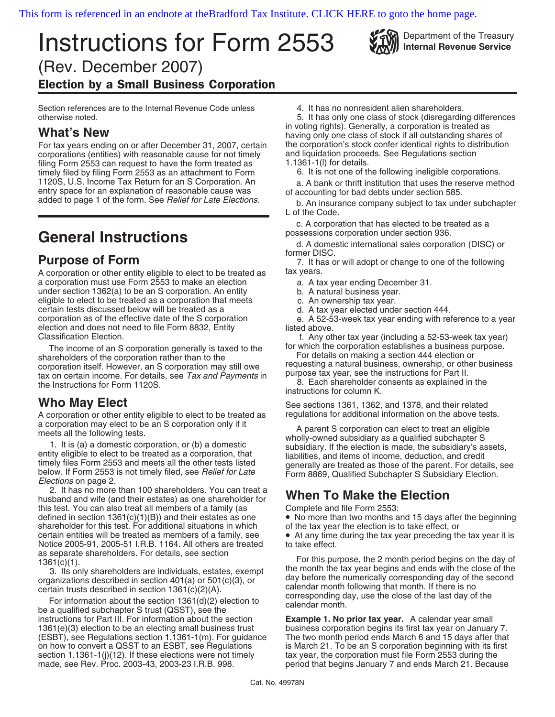# **Instructions for Form 2553** Will Department of the Treasury (Rev. December 2007) Election by a Small Business Corporation

Section references are to the Internal Revenue Code unless 4. It has no nonresident alien shareholders.

For tax years ending on or after December 31, 2007, certain the corporation's stock confer identical rights to distribution<br>corporations (entities) with reasonable cause for not timely and liquidation proceeds. See Regulat corporations (entities) with reasonable cause for not timely and liquidation proceenting filing Form 2553 can request to have the form treated as  $1.1361-1(1)$  for details. filing Form 2553 can request to have the form treated as  $\begin{array}{r} 1.1361-1 \text{(l)} \text{ for details.} \\ \text{timelv filed by filing Form 2553 as an attachment to Form} \end{array}$  6. It is not one of the following ineligible corporations. timely filed by filing Form 2553 as an attachment to Form 1120S, U.S. Income Tax Return for an S Corporation. An 1120S, U.S. Income Tax Return for an S Corporation. An a. A bank or thrift institution that uses the reserve method entry space for an explanation of reasonable cause was of accounting for bad debts under section 585.

A corporation or other entity eligible to elect to be treated as tax years. a corporation must use Form 2553 to make an election a. A tax year ending December 31. under section 1362(a) to be an S corporation. An entity b. A natural business year. eligible to elect to be treated as a corporation that meets can be c. An ownership tax year.<br>certain tests discussed below will be treated as a corporation d. A tax year elected under section 444. certain tests discussed below will be treated as a corporation as of the effective date of the S corporation election and does not need to file Form 8832, Entity Classification Election.

The income of an S corporation generally is taxed to the for which the corporation establishes a business purpose.<br>For details on making a section 444 election or corporation itself. However, an S corporation may still owe requesting a natural business, ownership, or other business<br>tax on certain income. For details, see Tax and Payments in the Instructions for Part II.<br>the Instruct

A corporation or other entity eligible to elect to be treated as a corporation may elect to be an S corporation only if it

2. It has no more than 100 shareholders. You can treat a E. It has no more than Too shareholders. Tou can treat a<br>husband and wife (and their estates) as one shareholder for **When To Make the Election**<br>this test. You can also treat all members of a family (as Complete and file F this test. You can also treat all members of a family (as Complete and file Form 2553:<br>defined in section 1361(c)(1)(B)) and their estates as one • No more than two months and 15 days after the beginning defined in section 1361(c)(1)(B)) and their estates as one • No more than two months and 15 days after shareholder for this test. For additional situations in which of the tax year the election is to take effect, or shareholder for this test. For additional situations in which certain entities will be treated as members of a family, see Notice 2005-91, 2005-51 I.R.B. 1164. All others are treated as separate shareholders. For details, see section

instructions for Part III. For information about the section **Example 1. No prior tax year.** A calendar year small 1361(e)(3) election to be an electing small business trust business corporation begins its first tax year on January 7.<br>(ESBT), see Regulations section 1.1361-1(m). For guidance The two month period ends March 6 and 15 day (ESBT), see Regulations section 1.1361-1(m). For guidance on how to convert a QSST to an ESBT, see Regulations section 1.1361-1(j)(12). If these elections were not timely tax year, the corporation must file Form 2553 during the made, see Rev. Proc. 2003-43, 2003-23 I.R.B. 998. period that begins January 7 and ends March 21. Becau

otherwise noted. 5. It has only one class of stock (disregarding differences **What's New What's New What's New Example 2008** having only one class of stock if all outstanding shares of

added to page 1 of the form. See Relief for Late Elections. b. An insurance company subject to tax under subchapter L of the Code.

c. A corporation that has elected to be treated as a

General Instructions<br> **General Instructions**<br> **General Instructions**<br> **General Instructions**<br> **General Instructions**<br> **General Instructions**<br> **General Instructions** 

**Purpose of Form** 7. It has or will adopt or change to one of the following

- 
- 

e. A 52-53-week tax year ending with reference to a year listed above.

f. Any other tax year (including a 52-53-week tax year)

8. Each shareholder consents as explained in the instructions for column K.

Who May Elect<br>A corporation or other entity eligible to elect to be treated as regulations for additional information on the above tests.

a corporation may elect to be an S corporation only if it<br>
meets all the following tests.<br>
1. It is (a) a domestic corporation, or (b) a domestic<br>
entity eligible to elect to be treated as a corporation, that<br>
timely files

• At any time during the tax year preceding the tax year it is to take effect.

as separate shareholders. For details, see section<br>
3. Its only shareholders are individuals, estates, exempt<br>
3. Its only shareholders are individuals, estates, exempt<br>
organizations described in section 401(a) or 501(c)

is March 21. To be an S corporation beginning with its first period that begins January 7 and ends March 21. Because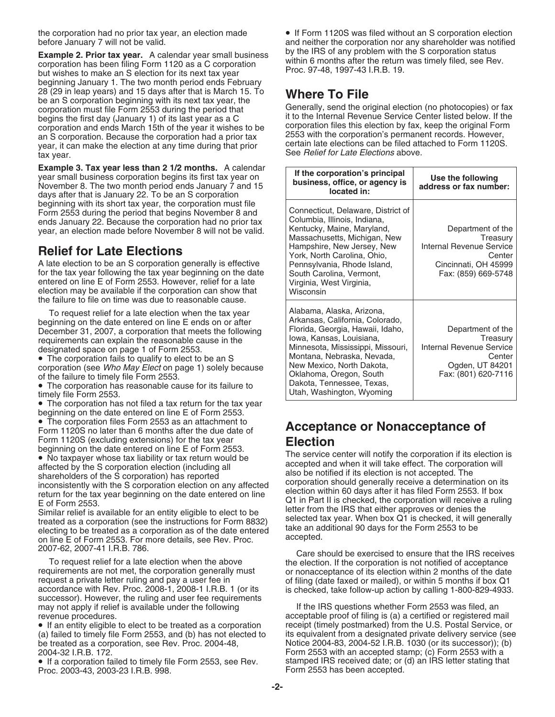**Example 2. Prior tax year.** A calendar year small business by the IRS of any problem with the S corporation status corporation has been filing Form 1120 as a C corporation within 6 months after the return was timely filed beginning January 1. The two month period ends February 28 (29 in leap years) and 15 days after that is March 15. 10<br>
be an S corporation beginning with its next tax year, the<br>
corporation must file Form 2553 during the period that<br>
begins the first day (January 1) of its last corporation and ends March 15th of the year it wishes to be an S corporation. Because the corporation had a prior tax year, it can make the election at any time during that prior exact to Form 1120S. year, it can make the election at any time during that prior See Relief for Late Elections above.

## **Relief for Late Elections**

• The corporation has not filed a tax return for the tax year

beginning on the date entered on line E of Form 2553.<br>• The corporation files Form 2553 as an attachment to • The corporation files Form 2553 as an attachment to **Acceptance or Nonacceptance of** Form 1120S no later than 6 months after the due date of

To request relief for a late election when the above the election. If the corporation is not notified of acceptance<br>or nonacceptance of its election within 2 months of the date request a private letter ruling and pay a user fee in only of filing (date faxed or mailed), or within 5 months if box Q1<br>1 accordance with Rev. Proc. 2008-1, 2008-1 I.R.B. 1 (or its is checked, take follow-up action by ca successor). However, the ruling and user fee requirements may not apply if relief is available under the following If the IRS questions whether Form 2553 was filed, an<br>acceptable proof of filing is (a) a certified or registered m

• If an entity eligible to elect to be treated as a corporation receipt (timely postmarked) from the U.S. Postal Service, or be treated as a corporation, see Rev. Proc. 2004-48, Notice 2004-83, 2004-52 I.R.B. 1030 (or its successor)); (b)<br>2004-32 I.R.B. 172. Zonessor) Form 2553 with an accepted stamp; (c) Form 2553 with a

Proc. 2003-43, 2003-23 I.R.B. 998.

the corporation had no prior tax year, an election made • If Form 1120S was filed without an S corporation election before January 7 will not be valid.  $\blacksquare$  and neither the corporation nor any shareholder was notified

2553 with the corporation's permanent records. However, certain late elections can be filed attached to Form 1120S.

| <b>Example 3. Tax year less than 2 1/2 months.</b> A calendar<br>year small business corporation begins its first tax year on<br>November 8. The two month period ends January 7 and 15<br>days after that is January 22. To be an S corporation                                                                                                                                                                                                                                                                                                                                                                 | If the corporation's principal<br>business, office, or agency is<br>located in:                                                                                                                                                                                                                                   | Use the following<br>address or fax number:                                                                        |
|------------------------------------------------------------------------------------------------------------------------------------------------------------------------------------------------------------------------------------------------------------------------------------------------------------------------------------------------------------------------------------------------------------------------------------------------------------------------------------------------------------------------------------------------------------------------------------------------------------------|-------------------------------------------------------------------------------------------------------------------------------------------------------------------------------------------------------------------------------------------------------------------------------------------------------------------|--------------------------------------------------------------------------------------------------------------------|
| beginning with its short tax year, the corporation must file<br>Form 2553 during the period that begins November 8 and<br>ends January 22. Because the corporation had no prior tax<br>year, an election made before November 8 will not be valid.<br><b>Relief for Late Elections</b><br>A late election to be an S corporation generally is effective<br>for the tax year following the tax year beginning on the date<br>entered on line E of Form 2553. However, relief for a late<br>election may be available if the corporation can show that<br>the failure to file on time was due to reasonable cause. | Connecticut, Delaware, District of<br>Columbia, Illinois, Indiana,<br>Kentucky, Maine, Maryland,<br>Massachusetts, Michigan, New<br>Hampshire, New Jersey, New<br>York, North Carolina, Ohio,<br>Pennsylvania, Rhode Island,<br>South Carolina, Vermont,<br>Virginia, West Virginia,<br>Wisconsin                 | Department of the<br>Treasury<br>Internal Revenue Service<br>Center<br>Cincinnati, OH 45999<br>Fax: (859) 669-5748 |
| To request relief for a late election when the tax year<br>beginning on the date entered on line E ends on or after<br>December 31, 2007, a corporation that meets the following<br>requirements can explain the reasonable cause in the<br>designated space on page 1 of Form 2553.<br>• The corporation fails to qualify to elect to be an S<br>corporation (see Who May Elect on page 1) solely because<br>of the failure to timely file Form 2553.<br>• The corporation has reasonable cause for its failure to<br>timely file Form 2553.                                                                    | Alabama, Alaska, Arizona,<br>Arkansas, California, Colorado,<br>Florida, Georgia, Hawaii, Idaho,<br>Iowa, Kansas, Louisiana,<br>Minnesota, Mississippi, Missouri,<br>Montana, Nebraska, Nevada,<br>New Mexico, North Dakota,<br>Oklahoma, Oregon, South<br>Dakota, Tennessee, Texas,<br>Utah, Washington, Wyoming | Department of the<br>Treasury<br>Internal Revenue Service<br>Center<br>Ogden, UT 84201<br>Fax: (801) 620-7116      |

Form 1120S (excluding extensions) for the tax year<br>
beginning on the date entered on line E of Form 2553.<br>
The service center will notify the corporation if its election is<br>
accepted and when it will take effect. The corpo

2007-62, 2007-41 I.R.B. 786. Care should be exercised to ensure that the IRS receives requirements are not met, the corporation generally must or nonacceptance of its election within 2 months of the date<br>
request a private letter ruling and pay a user fee in entity of filing (date faxed or mailed), or withi is checked, take follow-up action by calling 1-800-829-4933.

acceptable proof of filing is (a) a certified or registered mail (a) failed to timely file Form 2553, and (b) has not elected to its equivalent from a designated private delivery service (see<br>be treated as a corporation, see Rev. Proc. 2004-48, Notice 2004-83, 2004-52 I.R.B. 1030 (or it 2004-32 I.R.B. 172.<br>● If a corporation failed to timely file Form 2553, see Rev. stamped IRS received date; or (d) an IRS letter stating than ● If a corporation failed to timely file Form 2553, see Rev. stamped IRS receiv stamped IRS received date; or (d) an IRS letter stating that<br>Form 2553 has been accepted.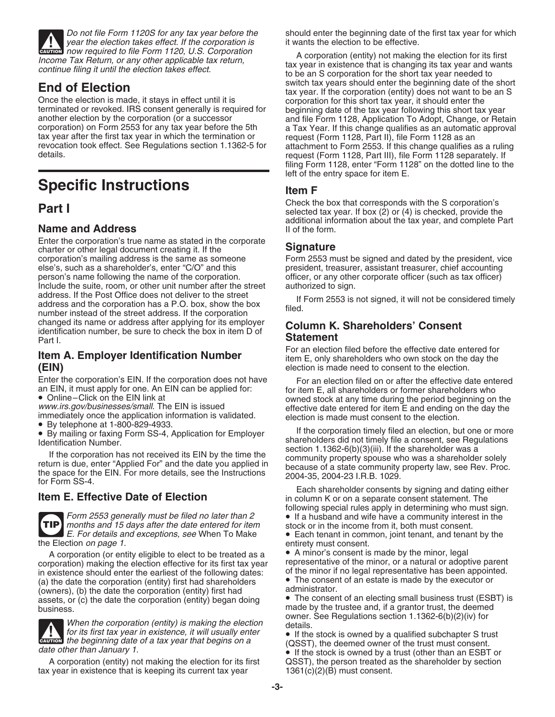year the election takes effect. If the corporation is it wants the election to be effective. **CAUTION**<br> **CAUTION**<br> **CAUTION**<br> **CAUTION**<br> **CAUTION**<br> **CAUTION**<br> **CAUTION**<br> **CAUTION**<br> **CAUTION**<br> **CAUTION**<br> **CAUTION**<br> **CAUTION**<br> **CAUTION** 

Once the election is made, it stays in effect until it is corporation for this short tax year, it should enter the terminated or revoked. IRS consent generally is required for beginning date of the tax year following this terminated or revoked. IRS consent generally is required for beginning date of the tax year following this short tax year<br>another election by the corporation (or a successor and file Form 1128, Application To Adopt, Change tax year after the first tax year in which the termination or revocation took effect. See Regulations section 1.1362-5 for

## **Specific Instructions Item F**

### **Name and Address**

Enter the corporation's true name as stated in the corporate charter or other legal document creating it. If the **Signature**<br>
corporation's mailing address is the same as someone Form 2553 m corporation's mailing address is the same as someone Form 2553 must be signed and dated by the president, vice<br>
else's, such as a shareholder's, enter "C/O" and this president, treasurer, assistant treasurer, chief account person's name following the name of the corporation. **officer**, or any other corporate officer (such as tax officer) Include the suite, room, or other unit number after the street authorized to sign. address. If the Post Office does not deliver to the street<br>address and the corporation has a P.O. box, show the box<br>number instead of the street address. If the corporation<br>changed its name or address after applying for it changed its name or address after applying for its employer **Column K. Shareholders' Consent** identification number, be sure to check the box in item D of Part I. **Statement** 

Enter the corporation's EIN. If the corporation does not have For an election filed on or after the effective date entered an EIN, it must apply for one. An EIN can be applied for: for item E, all shareholders or former sh



Form 2553 generally must be filed no later than  $2 \rightarrow$  If a husband and wife have a community interest in the **TIP** months and 15 days after the date entered for item stock or in the income from it, both must consent.

the Election *on page 1.*<br>A corporation (or entity eligible to elect to be treated as  $a \rightarrow A$  minor's consent is made by the minor, legal corporation) making the election effective for its first tax year representative of the minor, or a natural or adoptive parent<br>in existence should enter the earliest of the following dates: <br>of the minor if no legal repres in existence should enter the earliest of the following dates:<br>
(a) the date the corporation (entity) first had shareholders<br>
(owners), (b) the date the corporation (entity) first had<br>  $\frac{1}{2}$  administrator. assets, or (c) the date the corporation (entity) began doing • The consent of an electing small business trust (ESBT) is business. made by the trustee and, if a grantor trust, the deemed

When the corporation (entity) is making the election<br>  $\frac{1.1362-6(b)(2)(iv)}{0.0000}$  for its first tax year in existence, it will usually enter **a** If the stock is owned by a qualified subchapter S true for its first tax year in existence, it will usually enter **•** If the stock is owned by a qualified subchapter S trust must consent.<br> **Existence if the stock is owned by a qualified subchapter S trust must consent.**<br> **All** 

tax year in existence that is keeping its current tax year  $1361(c)(2)(B)$  must consent.

Do not file Form 1120S for any tax year before the should enter the beginning date of the first tax year for which

Exams how required to the Form Frizo, 0.0. Corporation<br>Income Tax Return, or any other applicable tax return,<br>continue filing it until the election takes effect.<br> **Engl of Election End of Election**<br>Christian tax years should enter the beginning date of the short<br>Once the election is made, it stays in effect until it is<br>Corporation for this short tax year, it should enter the another election by the corporation (or a successor and file Form 1128, Application To Adopt, Change, or Retain corporation) on Form 2553 for any tax year before the 5th a Tax Year. If this change qualifies as an automatic a Tax Year. If this change qualifies as an automatic approval request (Form 1128, Part II), file Form 1128 as an revocation took effect. See Regulations section 1.1362-5 for attachment to Form 2553. If this change qualifies as a ruling request (Form 1128, Part III), file Form 1128 separately. If filing Form 1128, enter "Form 1128" on the dotted line to the left of the entry space for item E.

**Part I** Select the box that corresponds with the S corporation's selected tax year. If box (2) or (4) is checked, provide the additional information about the tax year, and complete Part

president, treasurer, assistant treasurer, chief accounting

**Item A. Employer Identification Number** For an election filed before the effective date entered for<br>**Item E**, only shareholders who own stock on the day the election.<br>**IEIN)** election is made need to consent to the election.

an EIN, it must apply for one. An EIN can be applied for:<br>
• Online–Click on the EIN link at<br>
• www.irs.gov/busineses/small. The EIN is issued<br>
immediately once the application information is validated.<br>
• By telephone at

Form SS-4.<br> **Item E. Effective Date of Election**<br> **Item E. Effective Date of Election** in column K or on a separate consent statement. The following special rules apply in determining who must sign.

 $\blacktriangleright$  E. For details and exceptions, see When To Make  $\blacktriangleright$  Each tenant in common, joint tenant, and tenant by the

A corporation (or entity eligible to elect to be treated as a  $\bullet$  A minor's consent is made by the minor, legal<br>rporation) making the election effective for its first tax year representative of the minor, or a natural or

GALLEST), the deemed owner of the trust must consent.<br>
date other than January 1.<br>
A corporation (entity) not making the election for its first **a** QSST), the person treated as the shareholder by section QSST), the person treated as the shareholder by section